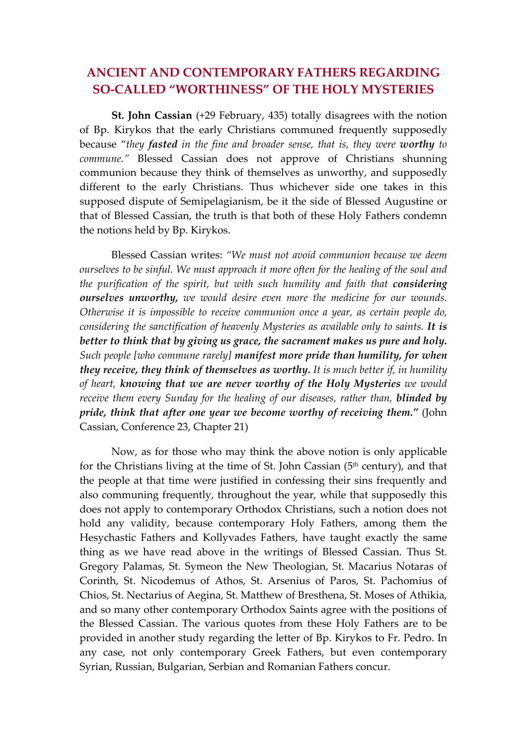## **ANCIENT AND CONTEMPORARY FATHERS REGARDING SO‐CALLED "WORTHINESS" OF THE HOLY MYSTERIES**

**St. John Cassian** (+29 February, 435) totally disagrees with the notion of Bp. Kirykos that the early Christians communed frequently supposedly because "*they fasted in the fine and broader sense, that is, they were worthy to commune."* Blessed Cassian does not approve of Christians shunning communion because they think of themselves as unworthy, and supposedly different to the early Christians. Thus whichever side one takes in this supposed dispute of Semipelagianism, be it the side of Blessed Augustine or that of Blessed Cassian, the truth is that both of these Holy Fathers condemn the notions held by Bp. Kirykos.

Blessed Cassian writes: *"We must not avoid communion because we deem ourselves to be sinful. We must approach it more often for the healing of the soul and the purification of the spirit, but with such humility and faith that considering ourselves unworthy, we would desire even more the medicine for our wounds. Otherwise it is impossible to receive communion once a year, as certain people do, considering the sanctification of heavenly Mysteries as available only to saints. It is better to think that by giving us grace, the sacrament makes us pure and holy. Such people [who commune rarely] manifest more pride than humility, for when they receive, they think of themselves as worthy. It is much better if, in humility of heart, knowing that we are never worthy of the Holy Mysteries we would receive them every Sunday for the healing of our diseases, rather than, blinded by pride, think that after one year we become worthy of receiving them."* (John Cassian, Conference 23, Chapter 21)

Now, as for those who may think the above notion is only applicable for the Christians living at the time of St. John Cassian  $(5<sup>th</sup>$  century), and that the people at that time were justified in confessing their sins frequently and also communing frequently, throughout the year, while that supposedly this does not apply to contemporary Orthodox Christians, such a notion does not hold any validity, because contemporary Holy Fathers, among them the Hesychastic Fathers and Kollyvades Fathers, have taught exactly the same thing as we have read above in the writings of Blessed Cassian. Thus St. Gregory Palamas, St. Symeon the New Theologian, St. Macarius Notaras of Corinth, St. Nicodemus of Athos, St. Arsenius of Paros, St. Pachomius of Chios, St. Nectarius of Aegina, St. Matthew of Bresthena, St. Moses of Athikia, and so many other contemporary Orthodox Saints agree with the positions of the Blessed Cassian. The various quotes from these Holy Fathers are to be provided in another study regarding the letter of Bp. Kirykos to Fr. Pedro. In any case, not only contemporary Greek Fathers, but even contemporary Syrian, Russian, Bulgarian, Serbian and Romanian Fathers concur.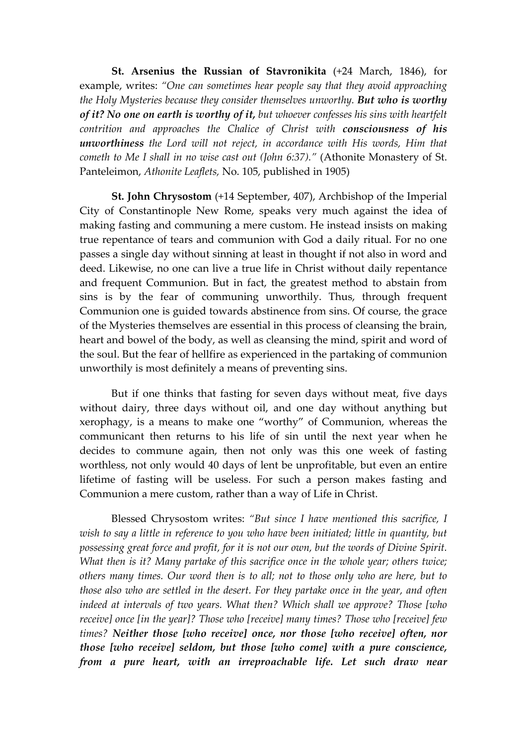**St. Arsenius the Russian of Stavronikita** (+24 March, 1846), for example, writes: *"One can sometimes hear people say that they avoid approaching the Holy Mysteries because they consider themselves unworthy. But who is worthy of it? No one on earth is worthy of it, but whoever confesses his sins with heartfelt contrition and approaches the Chalice of Christ with consciousness of his unworthiness the Lord will not reject, in accordance with His words, Him that cometh to Me I shall in no wise cast out (John 6:37)."* (Athonite Monastery of St. Panteleimon, *Athonite Leaflets,* No. 105, published in 1905)

**St. John Chrysostom** (+14 September, 407), Archbishop of the Imperial City of Constantinople New Rome, speaks very much against the idea of making fasting and communing a mere custom. He instead insists on making true repentance of tears and communion with God a daily ritual. For no one passes a single day without sinning at least in thought if not also in word and deed. Likewise, no one can live a true life in Christ without daily repentance and frequent Communion. But in fact, the greatest method to abstain from sins is by the fear of communing unworthily. Thus, through frequent Communion one is guided towards abstinence from sins. Of course, the grace of the Mysteries themselves are essential in this process of cleansing the brain, heart and bowel of the body, as well as cleansing the mind, spirit and word of the soul. But the fear of hellfire as experienced in the partaking of communion unworthily is most definitely a means of preventing sins.

But if one thinks that fasting for seven days without meat, five days without dairy, three days without oil, and one day without anything but xerophagy, is a means to make one "worthy" of Communion, whereas the communicant then returns to his life of sin until the next year when he decides to commune again, then not only was this one week of fasting worthless, not only would 40 days of lent be unprofitable, but even an entire lifetime of fasting will be useless. For such a person makes fasting and Communion a mere custom, rather than a way of Life in Christ.

Blessed Chrysostom writes: *"But since I have mentioned this sacrifice, I wish to say a little in reference to you who have been initiated; little in quantity, but possessing great force and profit, for it is not our own, but the words of Divine Spirit. What then is it? Many partake of this sacrifice once in the whole year; others twice; others many times. Our word then is to all; not to those only who are here, but to those also who are settled in the desert. For they partake once in the year, and often indeed at intervals of two years. What then? Which shall we approve? Those [who receive] once [in the year]? Those who [receive] many times? Those who [receive] few times? Neither those [who receive] once, nor those [who receive] often, nor those [who receive] seldom, but those [who come] with a pure conscience, from a pure heart, with an irreproachable life. Let such draw near*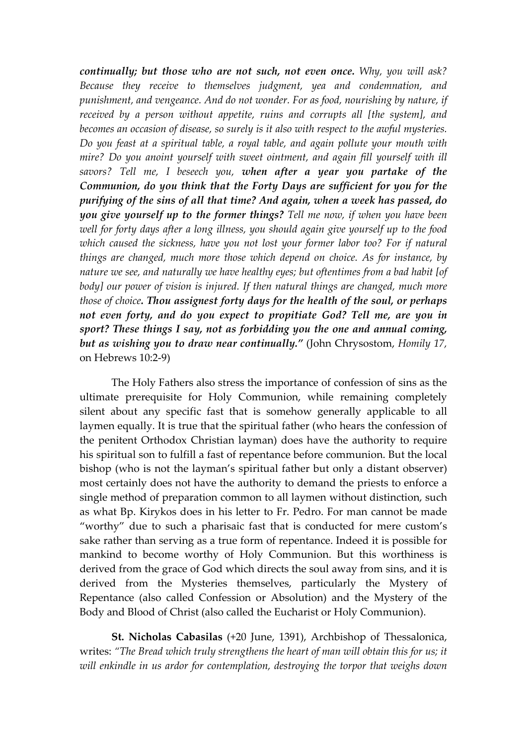*continually; but those who are not such, not even once. Why, you will ask? Because they receive to themselves judgment, yea and condemnation, and punishment, and vengeance. And do not wonder. For as food, nourishing by nature, if received by a person without appetite, ruins and corrupts all [the system], and becomes an occasion of disease, so surely is it also with respect to the awful mysteries. Do you feast at a spiritual table, a royal table, and again pollute your mouth with mire? Do you anoint yourself with sweet ointment, and again fill yourself with ill savors? Tell me, I beseech you, when after a year you partake of the Communion, do you think that the Forty Days are sufficient for you for the purifying of the sins of all that time? And again, when a week has passed, do you give yourself up to the former things? Tell me now, if when you have been well for forty days after a long illness, you should again give yourself up to the food which caused the sickness, have you not lost your former labor too? For if natural things are changed, much more those which depend on choice. As for instance, by nature we see, and naturally we have healthy eyes; but oftentimes from a bad habit [of body] our power of vision is injured. If then natural things are changed, much more those of choice. Thou assignest forty days for the health of the soul, or perhaps not even forty, and do you expect to propitiate God? Tell me, are you in sport? These things I say, not as forbidding you the one and annual coming, but as wishing you to draw near continually."* (John Chrysostom, *Homily 17,* on Hebrews 10:2‐9)

The Holy Fathers also stress the importance of confession of sins as the ultimate prerequisite for Holy Communion, while remaining completely silent about any specific fast that is somehow generally applicable to all laymen equally. It is true that the spiritual father (who hears the confession of the penitent Orthodox Christian layman) does have the authority to require his spiritual son to fulfill a fast of repentance before communion. But the local bishop (who is not the layman's spiritual father but only a distant observer) most certainly does not have the authority to demand the priests to enforce a single method of preparation common to all laymen without distinction, such as what Bp. Kirykos does in his letter to Fr. Pedro. For man cannot be made "worthy" due to such a pharisaic fast that is conducted for mere custom's sake rather than serving as a true form of repentance. Indeed it is possible for mankind to become worthy of Holy Communion. But this worthiness is derived from the grace of God which directs the soul away from sins, and it is derived from the Mysteries themselves, particularly the Mystery of Repentance (also called Confession or Absolution) and the Mystery of the Body and Blood of Christ (also called the Eucharist or Holy Communion).

**St. Nicholas Cabasilas** (+20 June, 1391), Archbishop of Thessalonica, writes: *"The Bread which truly strengthens the heart of man will obtain this for us; it will enkindle in us ardor for contemplation, destroying the torpor that weighs down*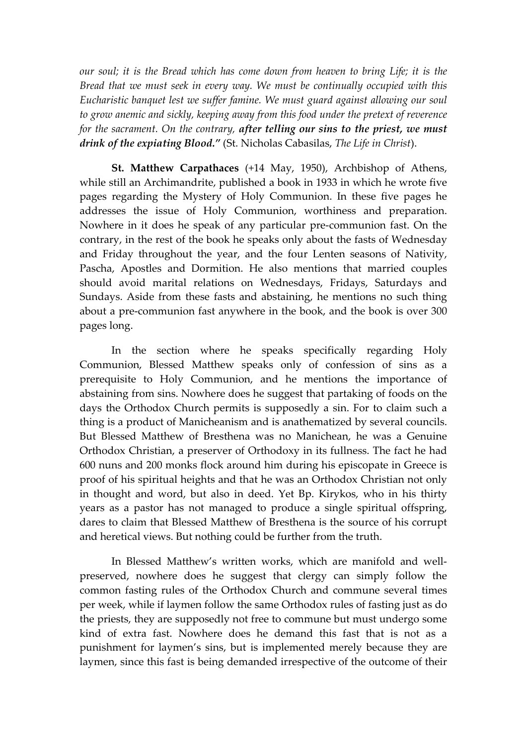*our soul; it is the Bread which has come down from heaven to bring Life; it is the Bread that we must seek in every way. We must be continually occupied with this Eucharistic banquet lest we suffer famine. We must guard against allowing our soul to grow anemic and sickly, keeping away from this food under the pretext of reverence for the sacrament. On the contrary, after telling our sins to the priest, we must drink of the expiating Blood."* (St. Nicholas Cabasilas, *The Life in Christ*).

**St. Matthew Carpathaces** (+14 May, 1950), Archbishop of Athens, while still an Archimandrite, published a book in 1933 in which he wrote five pages regarding the Mystery of Holy Communion. In these five pages he addresses the issue of Holy Communion, worthiness and preparation. Nowhere in it does he speak of any particular pre‐communion fast. On the contrary, in the rest of the book he speaks only about the fasts of Wednesday and Friday throughout the year, and the four Lenten seasons of Nativity, Pascha, Apostles and Dormition. He also mentions that married couples should avoid marital relations on Wednesdays, Fridays, Saturdays and Sundays. Aside from these fasts and abstaining, he mentions no such thing about a pre‐communion fast anywhere in the book, and the book is over 300 pages long.

In the section where he speaks specifically regarding Holy Communion, Blessed Matthew speaks only of confession of sins as a prerequisite to Holy Communion, and he mentions the importance of abstaining from sins. Nowhere does he suggest that partaking of foods on the days the Orthodox Church permits is supposedly a sin. For to claim such a thing is a product of Manicheanism and is anathematized by several councils. But Blessed Matthew of Bresthena was no Manichean, he was a Genuine Orthodox Christian, a preserver of Orthodoxy in its fullness. The fact he had 600 nuns and 200 monks flock around him during his episcopate in Greece is proof of his spiritual heights and that he was an Orthodox Christian not only in thought and word, but also in deed. Yet Bp. Kirykos, who in his thirty years as a pastor has not managed to produce a single spiritual offspring, dares to claim that Blessed Matthew of Bresthena is the source of his corrupt and heretical views. But nothing could be further from the truth.

In Blessed Matthew's written works, which are manifold and well‐ preserved, nowhere does he suggest that clergy can simply follow the common fasting rules of the Orthodox Church and commune several times per week, while if laymen follow the same Orthodox rules of fasting just as do the priests, they are supposedly not free to commune but must undergo some kind of extra fast. Nowhere does he demand this fast that is not as a punishment for laymen's sins, but is implemented merely because they are laymen, since this fast is being demanded irrespective of the outcome of their